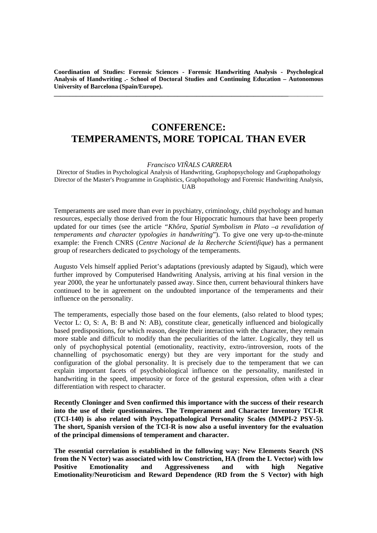**Coordination of Studies: Forensic Sciences - Forensic Handwriting Analysis - Psychological Analysis of Handwriting .- School of Doctoral Studies and Continuing Education – Autonomous University of Barcelona (Spain/Europe).** 

**\_\_\_\_\_\_\_\_\_\_\_\_\_\_\_\_\_\_\_\_\_\_\_\_\_\_\_\_\_\_\_\_\_\_\_\_\_\_\_\_\_\_\_\_\_\_\_\_\_\_\_\_\_\_\_\_\_\_\_\_\_\_\_\_\_\_\_\_\_\_\_\_\_\_**\_\_\_\_\_\_\_\_\_\_\_

## **CONFERENCE: TEMPERAMENTS, MORE TOPICAL THAN EVER**

 *Francisco VIÑALS CARRERA* 

Director of Studies in Psychological Analysis of Handwriting, Graphopsychology and Graphopathology Director of the Master's Programme in Graphistics, Graphopathology and Forensic Handwriting Analysis, **IIAR** 

Temperaments are used more than ever in psychiatry, criminology, child psychology and human resources, especially those derived from the four Hippocratic humours that have been properly updated for our times (see the article *"Khôra, Spatial Symbolism in Plato –a revalidation of temperaments and character typologies in handwriting*"). To give one very up-to-the-minute example: the French CNRS (*Centre Nacional de la Recherche Scientifique*) has a permanent group of researchers dedicated to psychology of the temperaments.

Augusto Vels himself applied Periot's adaptations (previously adapted by Sigaud), which were further improved by Computerised Handwriting Analysis, arriving at his final version in the year 2000, the year he unfortunately passed away. Since then, current behavioural thinkers have continued to be in agreement on the undoubted importance of the temperaments and their influence on the personality.

The temperaments, especially those based on the four elements, (also related to blood types; Vector L: O, S: A, B: B and N: AB), constitute clear, genetically influenced and biologically based predispositions, for which reason, despite their interaction with the character, they remain more stable and difficult to modify than the peculiarities of the latter. Logically, they tell us only of psychophysical potential (emotionality, reactivity, extro-/introversion, roots of the channelling of psychosomatic energy) but they are very important for the study and configuration of the global personality. It is precisely due to the temperament that we can explain important facets of psychobiological influence on the personality, manifested in handwriting in the speed, impetuosity or force of the gestural expression, often with a clear differentiation with respect to character.

**Recently Cloninger and Sven confirmed this importance with the success of their research into the use of their questionnaires. The Temperament and Character Inventory TCI-R (TCI-140) is also related with Psychopathological Personality Scales (MMPI-2 PSY-5). The short, Spanish version of the TCI-R is now also a useful inventory for the evaluation of the principal dimensions of temperament and character.** 

**The essential correlation is established in the following way: New Elements Search (NS from the N Vector) was associated with low Constriction, HA (from the L Vector) with low Positive Emotionality and Aggressiveness and with high Negative Emotionality/Neuroticism and Reward Dependence (RD from the S Vector) with high**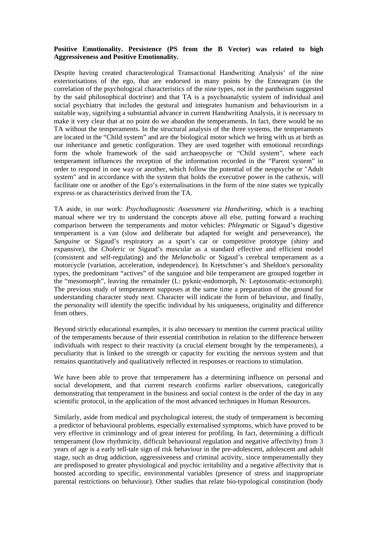## **Positive Emotionality. Persistence (PS from the B Vector) was related to high Aggressiveness and Positive Emotionality.**

Despite having created characterological Transactional Handwriting Analysis' of the nine exteriorisations of the ego, that are endorsed in many points by the Enneagram (in the correlation of the psychological characteristics of the nine types, not in the pantheism suggested by the said philosophical doctrine) and that TA is a psychoanalytic system of individual and social psychiatry that includes the gestural and integrates humanism and behaviourism in a suitable way, signifying a substantial advance in current Handwriting Analysis, it is necessary to make it very clear that at no point do we abandon the temperaments. In fact, there would be no TA without the temperaments. In the structural analysis of the three systems, the temperaments are located in the "Child system" and are the biological motor which we bring with us at birth as our inheritance and genetic configuration. They are used together with emotional recordings form the whole framework of the said archaeopsyche or "Child system", where each temperament influences the reception of the information recorded in the "Parent system" in order to respond in one way or another, which follow the potential of the neopsyche or "Adult system" and in accordance with the system that holds the executive power in the cathexis, will facilitate one or another of the Ego's externalisations in the form of the nine states we typically express or as characteristics derived from the TA.

TA aside, in our work: *Psychodiagnostic Assessment via Handwriting,* which is a teaching manual where we try to understand the concepts above all else, putting forward a teaching comparison between the temperaments and motor vehicles: *Phlegmatic* or Sigaud's digestive temperament is a van (slow and deliberate but adapted for weight and perseverance), the *Sanguine* or Sigaud's respiratory as a sport's car or competitive prototype (shiny and expansive), the *Choleric* or Sigaud's muscular as a standard effective and efficient model (consistent and self-regulating) and the *Melancholic* or Sigaud's cerebral temperament as a motorcycle (variation, acceleration, independence). In Kretschmer's and Sheldon's personality types, the predominant "actives" of the sanguine and bile temperament are grouped together in the "mesomorph", leaving the remainder (L: pyknic-endomorph, N: Leptosomatic-ectomorph). The previous study of temperament supposes at the same time a preparation of the ground for understanding character study next. Character will indicate the form of behaviour, and finally, the personality will identify the specific individual by his uniqueness, originality and difference from others.

Beyond strictly educational examples, it is also necessary to mention the current practical utility of the temperaments because of their essential contribution in relation to the difference between individuals with respect to their reactivity (a crucial element brought by the temperaments), a peculiarity that is linked to the strength or capacity for exciting the nervous system and that remains quantitatively and qualitatively reflected in responses or reactions to stimulation.

We have been able to prove that temperament has a determining influence on personal and social development, and that current research confirms earlier observations, categorically demonstrating that temperament in the business and social context is the order of the day in any scientific protocol, in the application of the most advanced techniques in Human Resources.

Similarly, aside from medical and psychological interest, the study of temperament is becoming a predictor of behavioural problems, especially externalised symptoms, which have proved to be very effective in criminology and of great interest for profiling. In fact, determining a difficult temperament (low rhythmicity, difficult behavioural regulation and negative affectivity) from 3 years of age is a early tell-tale sign of risk behaviour in the pre-adolescent, adolescent and adult stage, such as drug addiction, aggressiveness and criminal activity, since temperamentally they are predisposed to greater physiological and psychic irritability and a negative affectivity that is boosted according to specific, environmental variables (presence of stress and inappropriate parental restrictions on behaviour). Other studies that relate bio-typological constitution (body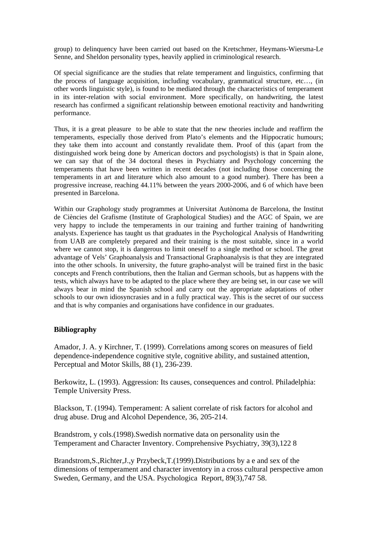group) to delinquency have been carried out based on the Kretschmer, Heymans-Wiersma-Le Senne, and Sheldon personality types, heavily applied in criminological research.

Of special significance are the studies that relate temperament and linguistics, confirming that the process of language acquisition, including vocabulary, grammatical structure, etc…, (in other words linguistic style), is found to be mediated through the characteristics of temperament in its inter-relation with social environment. More specifically, on handwriting, the latest research has confirmed a significant relationship between emotional reactivity and handwriting performance.

Thus, it is a great pleasure to be able to state that the new theories include and reaffirm the temperaments, especially those derived from Plato's elements and the Hippocratic humours; they take them into account and constantly revalidate them. Proof of this (apart from the distinguished work being done by American doctors and psychologists) is that in Spain alone, we can say that of the 34 doctoral theses in Psychiatry and Psychology concerning the temperaments that have been written in recent decades (not including those concerning the temperaments in art and literature which also amount to a good number). There has been a progressive increase, reaching 44.11% between the years 2000-2006, and 6 of which have been presented in Barcelona.

Within our Graphology study programmes at Universitat Autònoma de Barcelona, the Institut de Ciències del Grafisme (Institute of Graphological Studies) and the AGC of Spain, we are very happy to include the temperaments in our training and further training of handwriting analysts. Experience has taught us that graduates in the Psychological Analysis of Handwriting from UAB are completely prepared and their training is the most suitable, since in a world where we cannot stop, it is dangerous to limit oneself to a single method or school. The great advantage of Vels' Graphoanalysis and Transactional Graphoanalysis is that they are integrated into the other schools. In university, the future grapho-analyst will be trained first in the basic concepts and French contributions, then the Italian and German schools, but as happens with the tests, which always have to be adapted to the place where they are being set, in our case we will always bear in mind the Spanish school and carry out the appropriate adaptations of other schools to our own idiosyncrasies and in a fully practical way. This is the secret of our success and that is why companies and organisations have confidence in our graduates.

## **Bibliography**

Amador, J. A. y Kirchner, T. (1999). Correlations among scores on measures of field dependence-independence cognitive style, cognitive ability, and sustained attention, Perceptual and Motor Skills, 88 (1), 236-239.

Berkowitz, L. (1993). Aggression: Its causes, consequences and control. Philadelphia: Temple University Press.

Blackson, T. (1994). Temperament: A salient correlate of risk factors for alcohol and drug abuse. Drug and Alcohol Dependence, 36, 205-214.

Brandstrom, y cols.(1998).Swedish normative data on personality usin the Temperament and Character Inventory. Comprehensive Psychiatry, 39(3),122 8

Brandstrom,S.,Richter,J.,y Przybeck,T.(1999).Distributions by a e and sex of the dimensions of temperament and character inventory in a cross cultural perspective amon Sweden, Germany, and the USA. Psychologica Report, 89(3),747 58.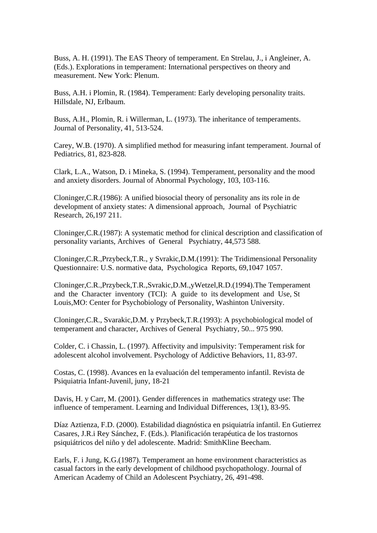Buss, A. H. (1991). The EAS Theory of temperament. En Strelau, J., i Angleiner, A. (Eds.). Explorations in temperament: International perspectives on theory and measurement. New York: Plenum.

Buss, A.H. i Plomin, R. (1984). Temperament: Early developing personality traits. Hillsdale, NJ, Erlbaum.

Buss, A.H., Plomin, R. i Willerman, L. (1973). The inheritance of temperaments. Journal of Personality, 41, 513-524.

Carey, W.B. (1970). A simplified method for measuring infant temperament. Journal of Pediatrics, 81, 823-828.

Clark, L.A., Watson, D. i Mineka, S. (1994). Temperament, personality and the mood and anxiety disorders. Journal of Abnormal Psychology, 103, 103-116.

Cloninger,C.R.(1986): A unified biosocial theory of personality ans its role in de development of anxiety states: A dimensional approach, Journal of Psychiatric Research, 26,197 211.

Cloninger,C.R.(1987): A systematic method for clinical description and classification of personality variants, Archives of General Psychiatry, 44,573 588.

Cloninger,C.R.,Przybeck,T.R., y Svrakic,D.M.(1991): The Tridimensional Personality Questionnaire: U.S. normative data, Psychologica Reports, 69,1047 1057.

Cloninger,C.R.,Przybeck,T.R.,Svrakic,D.M.,yWetzel,R.D.(1994).The Temperament and the Character inventory (TCI): A guide to its development and Use, St Louis,MO: Center for Psychobiology of Personality, Washinton University.

Cloninger,C.R., Svarakic,D.M. y Przybeck,T.R.(1993): A psychobiological model of temperament and character, Archives of General Psychiatry, 50... 975 990.

Colder, C. i Chassin, L. (1997). Affectivity and impulsivity: Temperament risk for adolescent alcohol involvement. Psychology of Addictive Behaviors, 11, 83-97.

Costas, C. (1998). Avances en la evaluación del temperamento infantil. Revista de Psiquiatria Infant-Juvenil, juny, 18-21

Davis, H. y Carr, M. (2001). Gender differences in mathematics strategy use: The influence of temperament. Learning and Individual Differences, 13(1), 83-95.

Díaz Aztienza, F.D. (2000). Estabilidad diagnóstica en psiquiatría infantil. En Gutierrez Casares, J.R.i Rey Sánchez, F. (Eds.). Planificación terapéutica de los trastornos psiquiátricos del niño y del adolescente. Madrid: SmithKline Beecham.

Earls, F. i Jung, K.G.(1987). Temperament an home environment characteristics as casual factors in the early development of childhood psychopathology. Journal of American Academy of Child an Adolescent Psychiatry, 26, 491-498.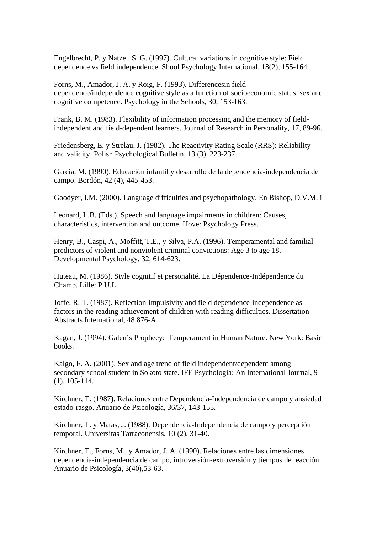Engelbrecht, P. y Natzel, S. G. (1997). Cultural variations in cognitive style: Field dependence vs field independence. Shool Psychology International, 18(2), 155-164.

Forns, M., Amador, J. A. y Roig, F. (1993). Differencesin fielddependence/independence cognitive style as a function of socioeconomic status, sex and cognitive competence. Psychology in the Schools, 30, 153-163.

Frank, B. M. (1983). Flexibility of information processing and the memory of fieldindependent and field-dependent learners. Journal of Research in Personality, 17, 89-96.

Friedensberg, E. y Strelau, J. (1982). The Reactivity Rating Scale (RRS): Reliability and validity, Polish Psychological Bulletin, 13 (3), 223-237.

García, M. (1990). Educación infantil y desarrollo de la dependencia-independencia de campo. Bordón, 42 (4), 445-453.

Goodyer, I.M. (2000). Language difficulties and psychopathology. En Bishop, D.V.M. i

Leonard, L.B. (Eds.). Speech and language impairments in children: Causes, characteristics, intervention and outcome. Hove: Psychology Press.

Henry, B., Caspi, A., Moffitt, T.E., y Silva, P.A. (1996). Temperamental and familial predictors of violent and nonviolent criminal convictions: Age 3 to age 18. Developmental Psychology, 32, 614-623.

Huteau, M. (1986). Style cognitif et personalité. La Dépendence-Indépendence du Champ. Lille: P.U.L.

Joffe, R. T. (1987). Reflection-impulsivity and field dependence-independence as factors in the reading achievement of children with reading difficulties. Dissertation Abstracts International, 48,876-A.

Kagan, J. (1994). Galen's Prophecy: Temperament in Human Nature. New York: Basic books.

Kalgo, F. A. (2001). Sex and age trend of field independent/dependent among secondary school student in Sokoto state. IFE Psychologia: An International Journal, 9 (1), 105-114.

Kirchner, T. (1987). Relaciones entre Dependencia-Independencia de campo y ansiedad estado-rasgo. Anuario de Psicología, 36/37, 143-155.

Kirchner, T. y Matas, J. (1988). Dependencia-Independencia de campo y percepción temporal. Universitas Tarraconensis, 10 (2), 31-40.

Kirchner, T., Forns, M., y Amador, J. A. (1990). Relaciones entre las dimensiones dependencia-independencia de campo, introversión-extroversión y tiempos de reacción. Anuario de Psicología, 3(40),53-63.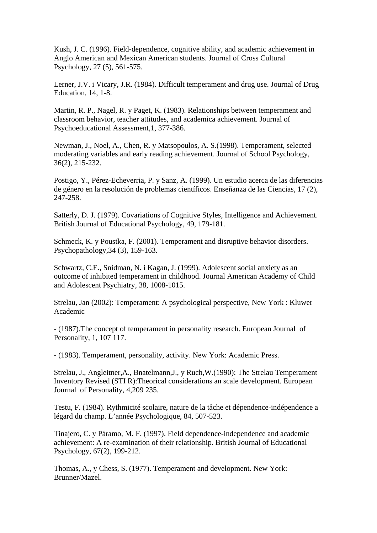Kush, J. C. (1996). Field-dependence, cognitive ability, and academic achievement in Anglo American and Mexican American students. Journal of Cross Cultural Psychology, 27 (5), 561-575.

Lerner, J.V. i Vicary, J.R. (1984). Difficult temperament and drug use. Journal of Drug Education, 14, 1-8.

Martin, R. P., Nagel, R. y Paget, K. (1983). Relationships between temperament and classroom behavior, teacher attitudes, and academica achievement. Journal of Psychoeducational Assessment,1, 377-386.

Newman, J., Noel, A., Chen, R. y Matsopoulos, A. S.(1998). Temperament, selected moderating variables and early reading achievement. Journal of School Psychology, 36(2), 215-232.

Postigo, Y., Pérez-Echeverria, P. y Sanz, A. (1999). Un estudio acerca de las diferencias de género en la resolución de problemas científicos. Enseñanza de las Ciencias, 17 (2), 247-258.

Satterly, D. J. (1979). Covariations of Cognitive Styles, Intelligence and Achievement. British Journal of Educational Psychology, 49, 179-181.

Schmeck, K. y Poustka, F. (2001). Temperament and disruptive behavior disorders. Psychopathology,34 (3), 159-163.

Schwartz, C.E., Snidman, N. i Kagan, J. (1999). Adolescent social anxiety as an outcome of inhibited temperament in childhood. Journal American Academy of Child and Adolescent Psychiatry, 38, 1008-1015.

Strelau, Jan (2002): Temperament: A psychological perspective, New York : Kluwer Academic

- (1987).The concept of temperament in personality research. European Journal of Personality, 1, 107 117.

- (1983). Temperament, personality, activity. New York: Academic Press.

Strelau, J., Angleitner,A., Bnatelmann,J., y Ruch,W.(1990): The Strelau Temperament Inventory Revised (STI R):Theorical considerations an scale development. European Journal of Personality, 4,209 235.

Testu, F. (1984). Rythmicité scolaire, nature de la tâche et dépendence-indépendence a légard du champ. L'année Psychologique, 84, 507-523.

Tinajero, C. y Páramo, M. F. (1997). Field dependence-independence and academic achievement: A re-examination of their relationship. British Journal of Educational Psychology, 67(2), 199-212.

Thomas, A., y Chess, S. (1977). Temperament and development. New York: Brunner/Mazel.